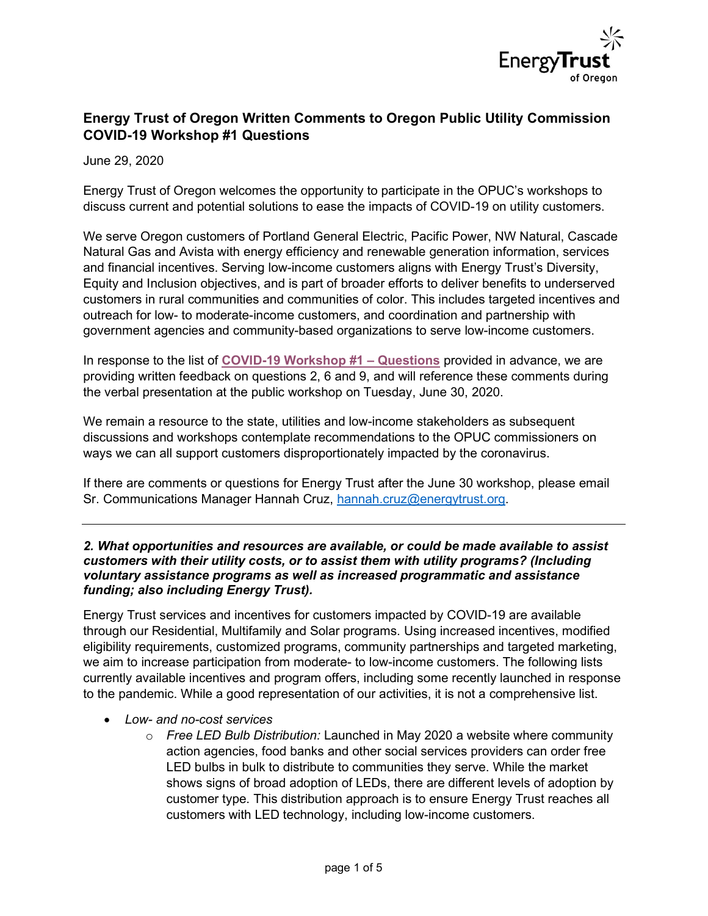

## Energy Trust of Oregon Written Comments to Oregon Public Utility Commission COVID-19 Workshop #1 Questions

June 29, 2020

Energy Trust of Oregon welcomes the opportunity to participate in the OPUC's workshops to discuss current and potential solutions to ease the impacts of COVID-19 on utility customers.

We serve Oregon customers of Portland General Electric, Pacific Power, NW Natural, Cascade Natural Gas and Avista with energy efficiency and renewable generation information, services and financial incentives. Serving low-income customers aligns with Energy Trust's Diversity, Equity and Inclusion objectives, and is part of broader efforts to deliver benefits to underserved customers in rural communities and communities of color. This includes targeted incentives and outreach for low- to moderate-income customers, and coordination and partnership with government agencies and community-based organizations to serve low-income customers.

In response to the list of COVID-19 Workshop #1 – Questions provided in advance, we are providing written feedback on questions 2, 6 and 9, and will reference these comments during the verbal presentation at the public workshop on Tuesday, June 30, 2020.

We remain a resource to the state, utilities and low-income stakeholders as subsequent discussions and workshops contemplate recommendations to the OPUC commissioners on ways we can all support customers disproportionately impacted by the coronavirus.

If there are comments or questions for Energy Trust after the June 30 workshop, please email Sr. Communications Manager Hannah Cruz, hannah.cruz@energytrust.org.

## 2. What opportunities and resources are available, or could be made available to assist customers with their utility costs, or to assist them with utility programs? (Including voluntary assistance programs as well as increased programmatic and assistance funding; also including Energy Trust).

Energy Trust services and incentives for customers impacted by COVID-19 are available through our Residential, Multifamily and Solar programs. Using increased incentives, modified eligibility requirements, customized programs, community partnerships and targeted marketing, we aim to increase participation from moderate- to low-income customers. The following lists currently available incentives and program offers, including some recently launched in response to the pandemic. While a good representation of our activities, it is not a comprehensive list.

- Low- and no-cost services
	- $\circ$  Free LED Bulb Distribution: Launched in May 2020 a website where community action agencies, food banks and other social services providers can order free LED bulbs in bulk to distribute to communities they serve. While the market shows signs of broad adoption of LEDs, there are different levels of adoption by customer type. This distribution approach is to ensure Energy Trust reaches all customers with LED technology, including low-income customers.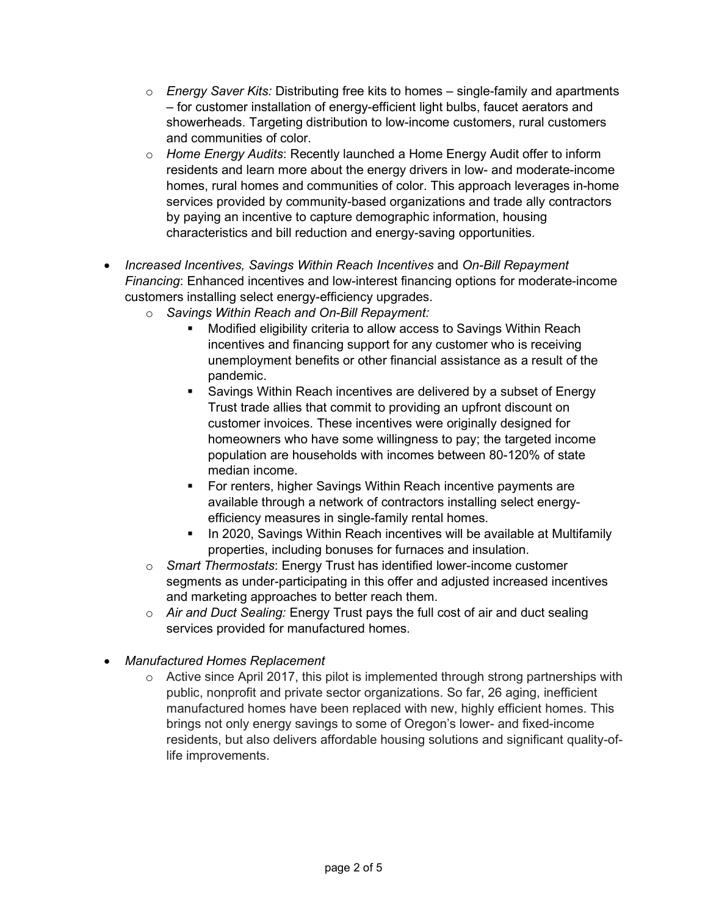- $\circ$  Energy Saver Kits: Distributing free kits to homes single-family and apartments – for customer installation of energy-efficient light bulbs, faucet aerators and showerheads. Targeting distribution to low-income customers, rural customers and communities of color.
- $\circ$  Home Energy Audits: Recently launched a Home Energy Audit offer to inform residents and learn more about the energy drivers in low- and moderate-income homes, rural homes and communities of color. This approach leverages in-home services provided by community-based organizations and trade ally contractors by paying an incentive to capture demographic information, housing characteristics and bill reduction and energy-saving opportunities.
- Increased Incentives, Savings Within Reach Incentives and On-Bill Repayment Financing: Enhanced incentives and low-interest financing options for moderate-income customers installing select energy-efficiency upgrades.
	- o Savings Within Reach and On-Bill Repayment:
		- Modified eligibility criteria to allow access to Savings Within Reach incentives and financing support for any customer who is receiving unemployment benefits or other financial assistance as a result of the pandemic.
		- **Savings Within Reach incentives are delivered by a subset of Energy** Trust trade allies that commit to providing an upfront discount on customer invoices. These incentives were originally designed for homeowners who have some willingness to pay; the targeted income population are households with incomes between 80-120% of state median income.
		- **For renters, higher Savings Within Reach incentive payments are** available through a network of contractors installing select energyefficiency measures in single-family rental homes.
		- In 2020, Savings Within Reach incentives will be available at Multifamily properties, including bonuses for furnaces and insulation.
	- o Smart Thermostats: Energy Trust has identified lower-income customer segments as under-participating in this offer and adjusted increased incentives and marketing approaches to better reach them.
	- $\circ$  Air and Duct Sealing: Energy Trust pays the full cost of air and duct sealing services provided for manufactured homes.
- Manufactured Homes Replacement
	- $\circ$  Active since April 2017, this pilot is implemented through strong partnerships with public, nonprofit and private sector organizations. So far, 26 aging, inefficient manufactured homes have been replaced with new, highly efficient homes. This brings not only energy savings to some of Oregon's lower- and fixed-income residents, but also delivers affordable housing solutions and significant quality-oflife improvements.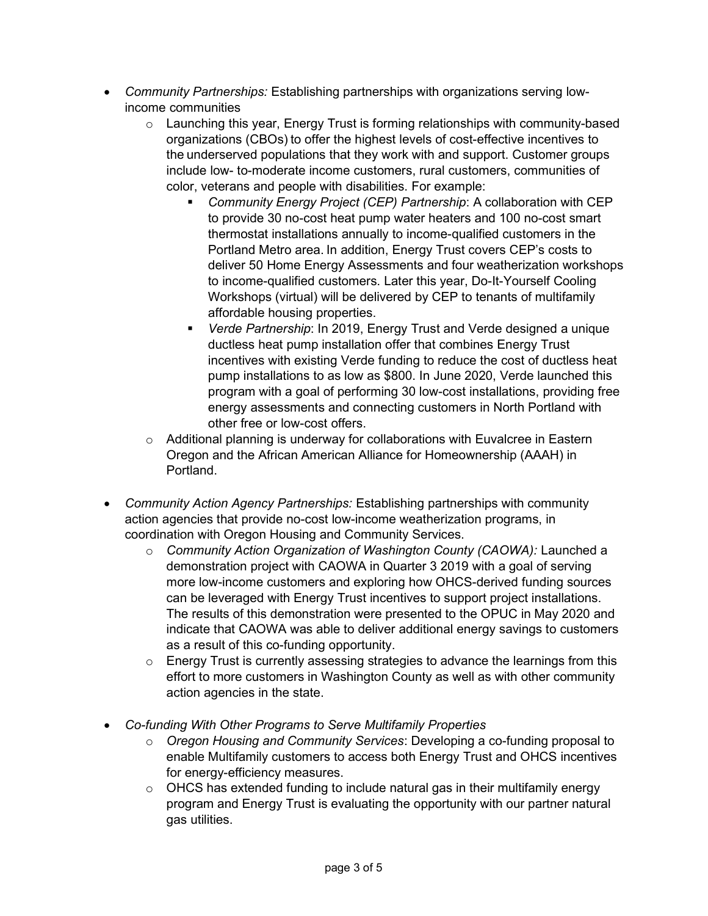- Community Partnerships: Establishing partnerships with organizations serving lowincome communities
	- $\circ$  Launching this year, Energy Trust is forming relationships with community-based organizations (CBOs) to offer the highest levels of cost-effective incentives to the underserved populations that they work with and support. Customer groups include low- to-moderate income customers, rural customers, communities of color, veterans and people with disabilities. For example:
		- Community Energy Project (CEP) Partnership: A collaboration with CEP to provide 30 no-cost heat pump water heaters and 100 no-cost smart thermostat installations annually to income-qualified customers in the Portland Metro area. In addition, Energy Trust covers CEP's costs to deliver 50 Home Energy Assessments and four weatherization workshops to income-qualified customers. Later this year, Do-It-Yourself Cooling Workshops (virtual) will be delivered by CEP to tenants of multifamily affordable housing properties.
		- Verde Partnership: In 2019, Energy Trust and Verde designed a unique ductless heat pump installation offer that combines Energy Trust incentives with existing Verde funding to reduce the cost of ductless heat pump installations to as low as \$800. In June 2020, Verde launched this program with a goal of performing 30 low-cost installations, providing free energy assessments and connecting customers in North Portland with other free or low-cost offers.
	- o Additional planning is underway for collaborations with Euvalcree in Eastern Oregon and the African American Alliance for Homeownership (AAAH) in Portland.
- Community Action Agency Partnerships: Establishing partnerships with community action agencies that provide no-cost low-income weatherization programs, in coordination with Oregon Housing and Community Services.
	- $\circ$  Community Action Organization of Washington County (CAOWA): Launched a demonstration project with CAOWA in Quarter 3 2019 with a goal of serving more low-income customers and exploring how OHCS-derived funding sources can be leveraged with Energy Trust incentives to support project installations. The results of this demonstration were presented to the OPUC in May 2020 and indicate that CAOWA was able to deliver additional energy savings to customers as a result of this co-funding opportunity.
	- o Energy Trust is currently assessing strategies to advance the learnings from this effort to more customers in Washington County as well as with other community action agencies in the state.
- Co-funding With Other Programs to Serve Multifamily Properties
	- o Oregon Housing and Community Services: Developing a co-funding proposal to enable Multifamily customers to access both Energy Trust and OHCS incentives for energy-efficiency measures.
	- $\circ$  OHCS has extended funding to include natural gas in their multifamily energy program and Energy Trust is evaluating the opportunity with our partner natural gas utilities.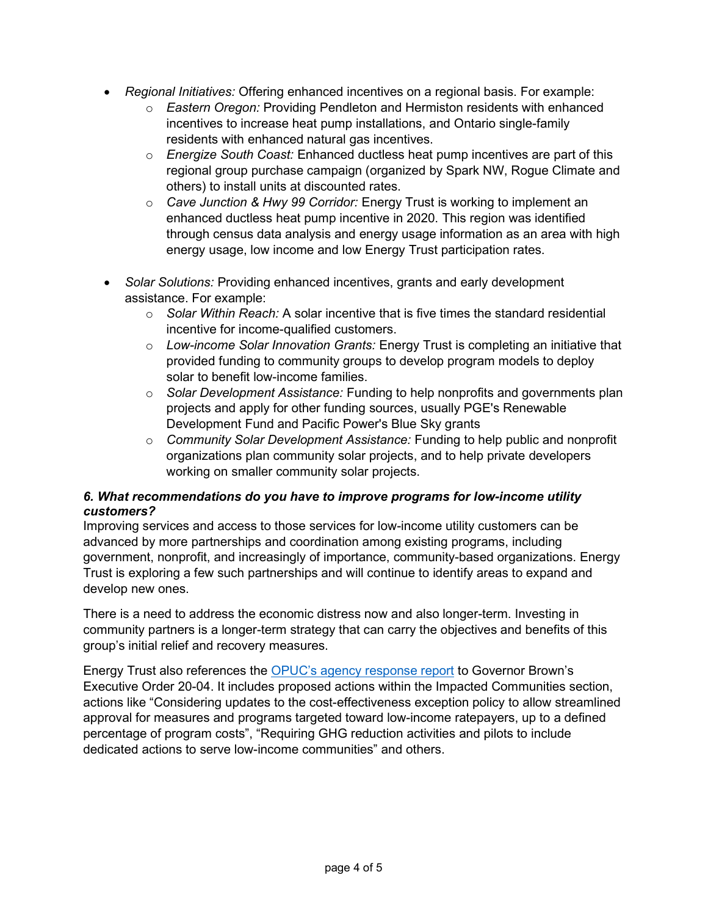- Regional Initiatives: Offering enhanced incentives on a regional basis. For example:
	- $\circ$  Eastern Oregon: Providing Pendleton and Hermiston residents with enhanced incentives to increase heat pump installations, and Ontario single-family residents with enhanced natural gas incentives.
	- $\circ$  Energize South Coast: Enhanced ductless heat pump incentives are part of this regional group purchase campaign (organized by Spark NW, Rogue Climate and others) to install units at discounted rates.
	- $\circ$  Cave Junction & Hwy 99 Corridor: Energy Trust is working to implement an enhanced ductless heat pump incentive in 2020. This region was identified through census data analysis and energy usage information as an area with high energy usage, low income and low Energy Trust participation rates.
- Solar Solutions: Providing enhanced incentives, grants and early development assistance. For example:
	- $\circ$  Solar Within Reach: A solar incentive that is five times the standard residential incentive for income-qualified customers.
	- o Low-income Solar Innovation Grants: Energy Trust is completing an initiative that provided funding to community groups to develop program models to deploy solar to benefit low-income families.
	- $\circ$  Solar Development Assistance: Funding to help nonprofits and governments plan projects and apply for other funding sources, usually PGE's Renewable Development Fund and Pacific Power's Blue Sky grants
	- o Community Solar Development Assistance: Funding to help public and nonprofit organizations plan community solar projects, and to help private developers working on smaller community solar projects.

## 6. What recommendations do you have to improve programs for low-income utility customers?

Improving services and access to those services for low-income utility customers can be advanced by more partnerships and coordination among existing programs, including government, nonprofit, and increasingly of importance, community-based organizations. Energy Trust is exploring a few such partnerships and will continue to identify areas to expand and develop new ones.

There is a need to address the economic distress now and also longer-term. Investing in community partners is a longer-term strategy that can carry the objectives and benefits of this group's initial relief and recovery measures.

Energy Trust also references the OPUC's agency response report to Governor Brown's Executive Order 20-04. It includes proposed actions within the Impacted Communities section, actions like "Considering updates to the cost-effectiveness exception policy to allow streamlined approval for measures and programs targeted toward low-income ratepayers, up to a defined percentage of program costs", "Requiring GHG reduction activities and pilots to include dedicated actions to serve low-income communities" and others.